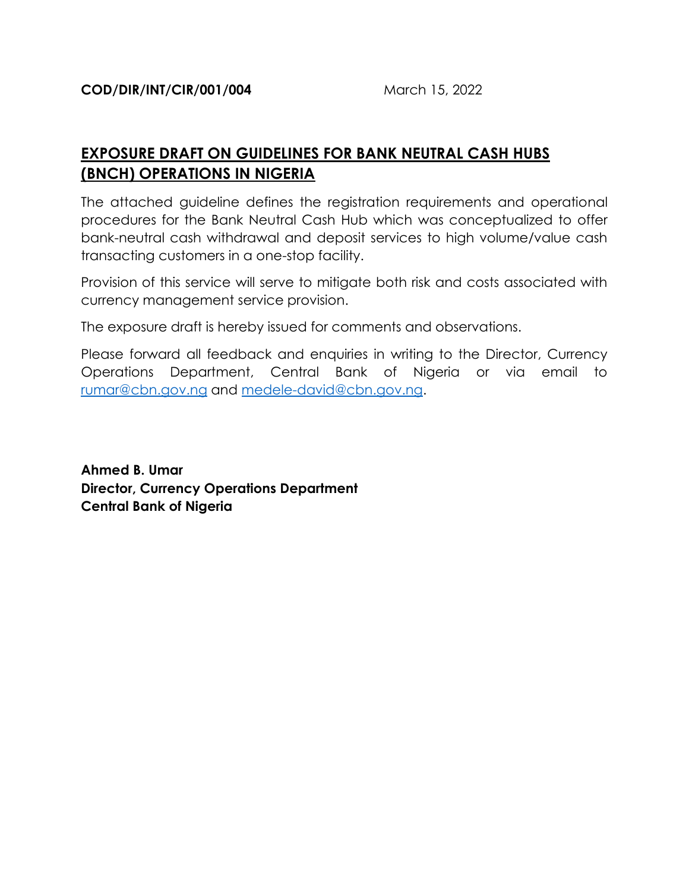# **EXPOSURE DRAFT ON GUIDELINES FOR BANK NEUTRAL CASH HUBS (BNCH) OPERATIONS IN NIGERIA**

The attached guideline defines the registration requirements and operational procedures for the Bank Neutral Cash Hub which was conceptualized to offer bank-neutral cash withdrawal and deposit services to high volume/value cash transacting customers in a one-stop facility.

Provision of this service will serve to mitigate both risk and costs associated with currency management service provision.

The exposure draft is hereby issued for comments and observations.

Please forward all feedback and enquiries in writing to the Director, Currency Operations Department, Central Bank of Nigeria or via email to [rumar@cbn.gov.ng](mailto:rumar@cbn.gov.ng) and [medele-david@cbn.gov.ng.](mailto:medele-david@cbn.gov.ng)

**Ahmed B. Umar Director, Currency Operations Department Central Bank of Nigeria**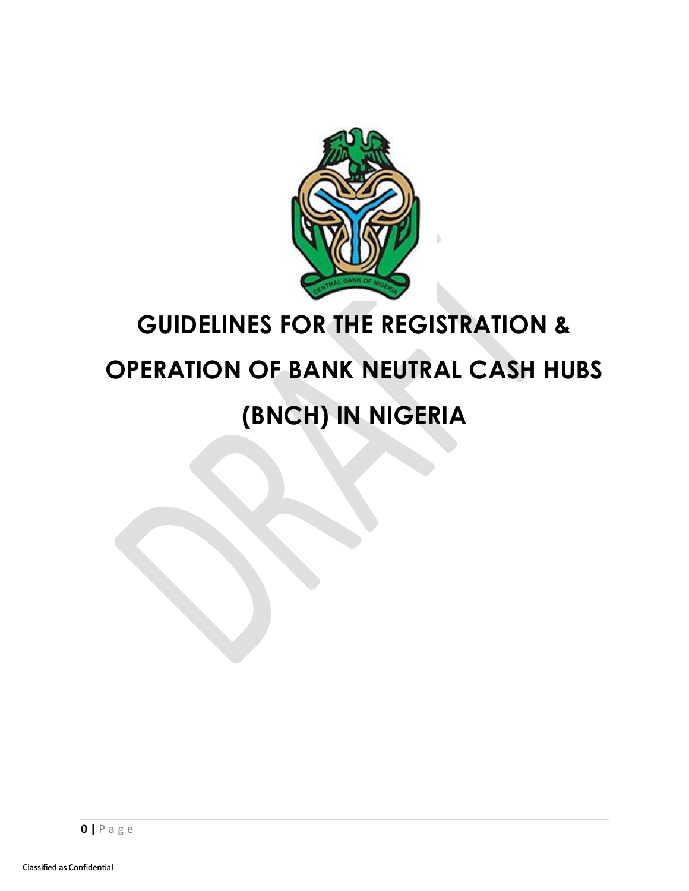

# **GUIDELINES FOR THE REGISTRATION & OPERATION OF BANK NEUTRAL CASH HUBS (BNCH) IN NIGERIA**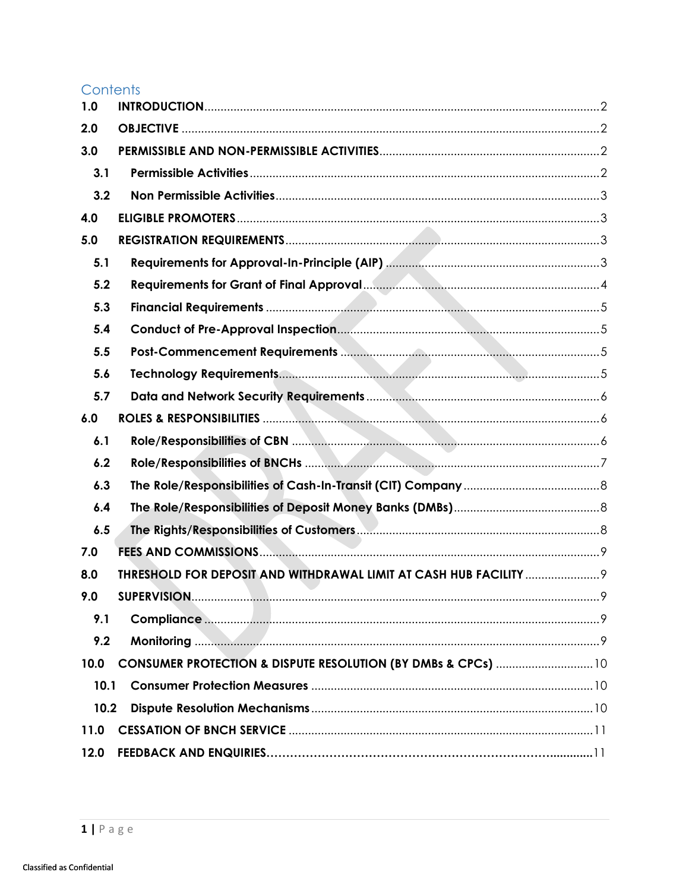# Contents

<span id="page-2-0"></span>

| 1.0  |                                                                    |
|------|--------------------------------------------------------------------|
| 2.0  |                                                                    |
| 3.0  |                                                                    |
| 3.1  |                                                                    |
| 3.2  |                                                                    |
| 4.0  |                                                                    |
| 5.0  |                                                                    |
| 5.1  |                                                                    |
| 5.2  |                                                                    |
| 5.3  |                                                                    |
| 5.4  |                                                                    |
| 5.5  |                                                                    |
| 5.6  |                                                                    |
| 5.7  |                                                                    |
| 6.0  |                                                                    |
| 6.1  |                                                                    |
| 6.2  |                                                                    |
| 6.3  |                                                                    |
| 6.4  |                                                                    |
| 6.5  |                                                                    |
| 7.0  |                                                                    |
| 8.0  | THRESHOLD FOR DEPOSIT AND WITHDRAWAL LIMIT AT CASH HUB FACILITY  9 |
| 9.0  |                                                                    |
| 9.1  |                                                                    |
| 9.2  |                                                                    |
| 10.0 | CONSUMER PROTECTION & DISPUTE RESOLUTION (BY DMBs & CPCs)  10      |
| 10.1 |                                                                    |
| 10.2 |                                                                    |
| 11.0 |                                                                    |
| 12.0 |                                                                    |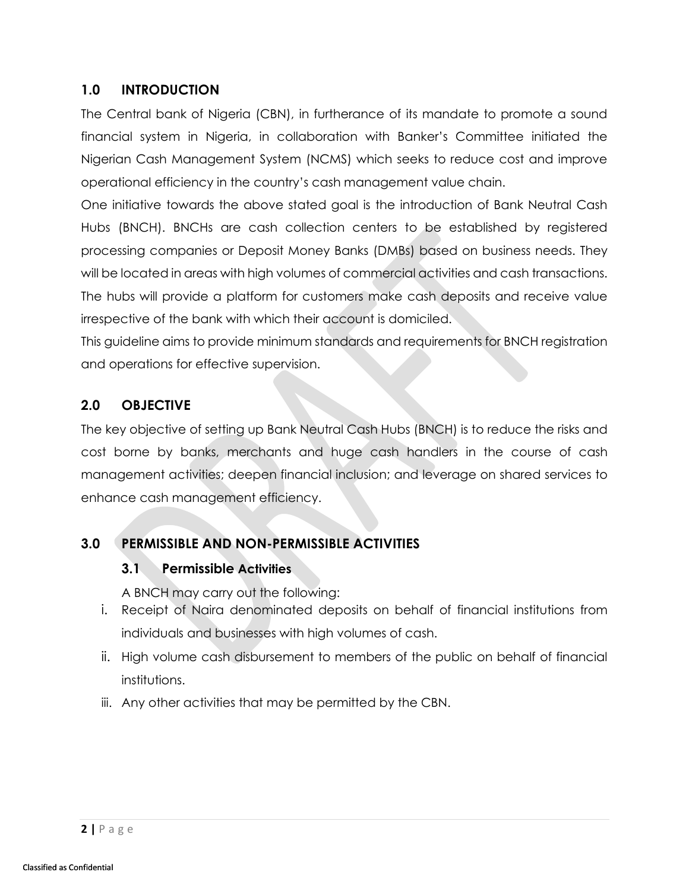# **1.0 INTRODUCTION**

The Central bank of Nigeria (CBN), in furtherance of its mandate to promote a sound financial system in Nigeria, in collaboration with Banker's Committee initiated the Nigerian Cash Management System (NCMS) which seeks to reduce cost and improve operational efficiency in the country's cash management value chain.

One initiative towards the above stated goal is the introduction of Bank Neutral Cash Hubs (BNCH). BNCHs are cash collection centers to be established by registered processing companies or Deposit Money Banks (DMBs) based on business needs. They will be located in areas with high volumes of commercial activities and cash transactions. The hubs will provide a platform for customers make cash deposits and receive value irrespective of the bank with which their account is domiciled.

This guideline aims to provide minimum standards and requirements for BNCH registration and operations for effective supervision.

# <span id="page-3-0"></span>**2.0 OBJECTIVE**

The key objective of setting up Bank Neutral Cash Hubs (BNCH) is to reduce the risks and cost borne by banks, merchants and huge cash handlers in the course of cash management activities; deepen financial inclusion; and leverage on shared services to enhance cash management efficiency.

# <span id="page-3-2"></span><span id="page-3-1"></span>**3.0 PERMISSIBLE AND NON-PERMISSIBLE ACTIVITIES**

## **3.1 Permissible Activities**

A BNCH may carry out the following:

- i. Receipt of Naira denominated deposits on behalf of financial institutions from individuals and businesses with high volumes of cash.
- ii. High volume cash disbursement to members of the public on behalf of financial institutions.
- iii. Any other activities that may be permitted by the CBN.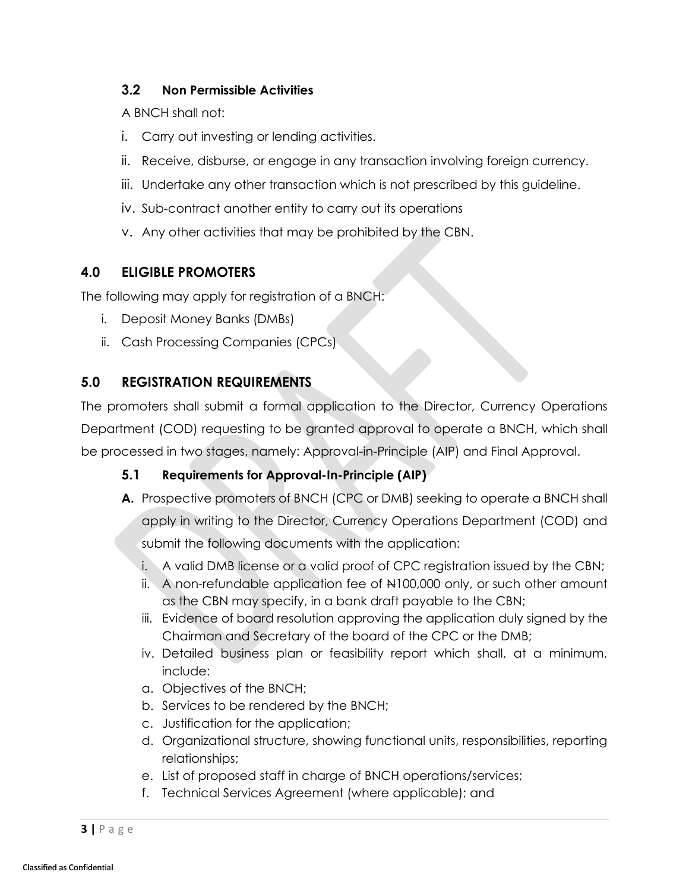## <span id="page-4-0"></span>**3.2 Non Permissible Activities**

A BNCH shall not:

- i. Carry out investing or lending activities.
- ii. Receive, disburse, or engage in any transaction involving foreign currency.
- iii. Undertake any other transaction which is not prescribed by this guideline.
- iv. Sub-contract another entity to carry out its operations
- v. Any other activities that may be prohibited by the CBN.

# <span id="page-4-1"></span>**4.0 ELIGIBLE PROMOTERS**

The following may apply for registration of a BNCH:

- i. Deposit Money Banks (DMBs)
- ii. Cash Processing Companies (CPCs)

# <span id="page-4-2"></span>**5.0 REGISTRATION REQUIREMENTS**

The promoters shall submit a formal application to the Director, Currency Operations Department (COD) requesting to be granted approval to operate a BNCH, which shall be processed in two stages, namely: Approval-in-Principle (AIP) and Final Approval.

# <span id="page-4-3"></span>**5.1 Requirements for Approval-In-Principle (AIP)**

**A.** Prospective promoters of BNCH (CPC or DMB) seeking to operate a BNCH shall apply in writing to the Director, Currency Operations Department (COD) and

submit the following documents with the application:

- i. A valid DMB license or a valid proof of CPC registration issued by the CBN;
- ii. A non-refundable application fee of  $\mu$ 100,000 only, or such other amount as the CBN may specify, in a bank draft payable to the CBN;
- iii. Evidence of board resolution approving the application duly signed by the Chairman and Secretary of the board of the CPC or the DMB;
- iv. Detailed business plan or feasibility report which shall, at a minimum, include:
- a. Objectives of the BNCH;
- b. Services to be rendered by the BNCH;
- c. Justification for the application;
- d. Organizational structure, showing functional units, responsibilities, reporting relationships;
- e. List of proposed staff in charge of BNCH operations/services;
- f. Technical Services Agreement (where applicable); and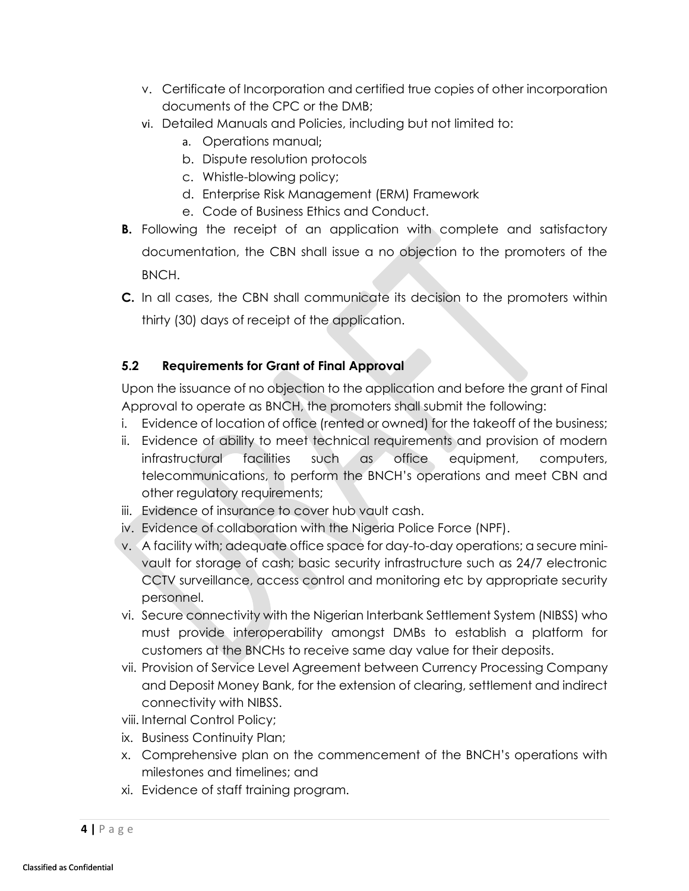- v. Certificate of Incorporation and certified true copies of other incorporation documents of the CPC or the DMB;
- vi. Detailed Manuals and Policies, including but not limited to:
	- a. Operations manual;
	- b. Dispute resolution protocols
	- c. Whistle-blowing policy;
	- d. Enterprise Risk Management (ERM) Framework
	- e. Code of Business Ethics and Conduct.
- **B.** Following the receipt of an application with complete and satisfactory documentation, the CBN shall issue a no objection to the promoters of the BNCH.
- **C.** In all cases, the CBN shall communicate its decision to the promoters within thirty (30) days of receipt of the application.

# <span id="page-5-0"></span>**5.2 Requirements for Grant of Final Approval**

Upon the issuance of no objection to the application and before the grant of Final Approval to operate as BNCH, the promoters shall submit the following:

- i. Evidence of location of office (rented or owned) for the takeoff of the business;
- ii. Evidence of ability to meet technical requirements and provision of modern infrastructural facilities such as office equipment, computers, telecommunications, to perform the BNCH's operations and meet CBN and other regulatory requirements;
- iii. Evidence of insurance to cover hub vault cash.
- iv. Evidence of collaboration with the Nigeria Police Force (NPF).
- v. A facility with; adequate office space for day-to-day operations; a secure minivault for storage of cash; basic security infrastructure such as 24/7 electronic CCTV surveillance, access control and monitoring etc by appropriate security personnel.
- vi. Secure connectivity with the Nigerian Interbank Settlement System (NIBSS) who must provide interoperability amongst DMBs to establish a platform for customers at the BNCHs to receive same day value for their deposits.
- vii. Provision of Service Level Agreement between Currency Processing Company and Deposit Money Bank, for the extension of clearing, settlement and indirect connectivity with NIBSS.
- viii. Internal Control Policy;
- ix. Business Continuity Plan;
- x. Comprehensive plan on the commencement of the BNCH's operations with milestones and timelines; and
- xi. Evidence of staff training program.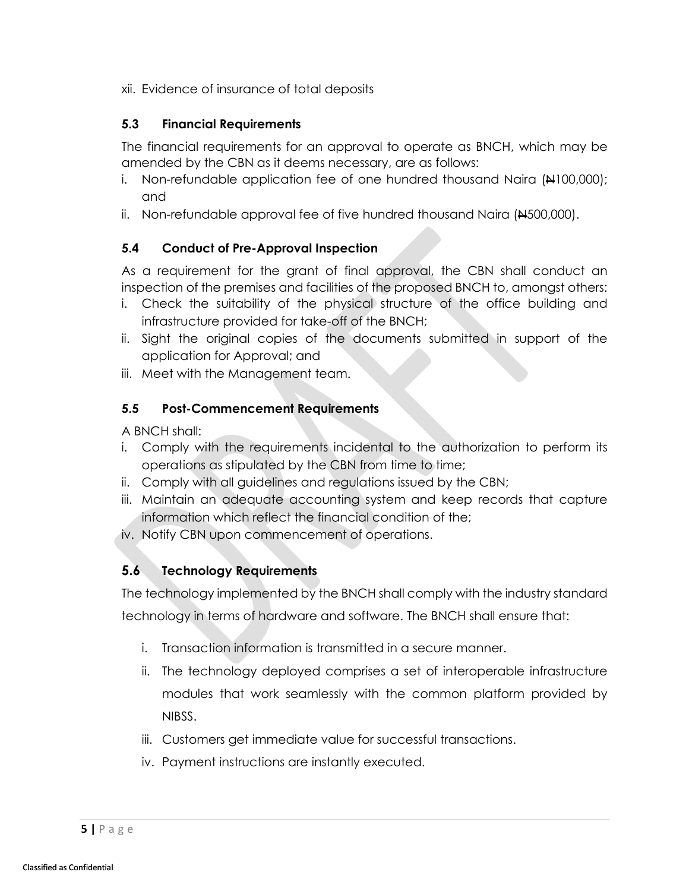xii. Evidence of insurance of total deposits

## <span id="page-6-0"></span>**5.3 Financial Requirements**

The financial requirements for an approval to operate as BNCH, which may be amended by the CBN as it deems necessary, are as follows:

- i. Non-refundable application fee of one hundred thousand Naira  $(\frac{1}{100000})$ ; and
- ii. Non-refundable approval fee of five hundred thousand Naira  $(A500,000)$ .

# <span id="page-6-1"></span>**5.4 Conduct of Pre-Approval Inspection**

As a requirement for the grant of final approval, the CBN shall conduct an inspection of the premises and facilities of the proposed BNCH to, amongst others:

- i. Check the suitability of the physical structure of the office building and infrastructure provided for take-off of the BNCH;
- ii. Sight the original copies of the documents submitted in support of the application for Approval; and
- iii. Meet with the Management team.

# <span id="page-6-2"></span>**5.5 Post-Commencement Requirements**

A BNCH shall:

- i. Comply with the requirements incidental to the authorization to perform its operations as stipulated by the CBN from time to time;
- ii. Comply with all guidelines and regulations issued by the CBN;
- iii. Maintain an adequate accounting system and keep records that capture information which reflect the financial condition of the;
- iv. Notify CBN upon commencement of operations.

# <span id="page-6-3"></span>**5.6 Technology Requirements**

The technology implemented by the BNCH shall comply with the industry standard technology in terms of hardware and software. The BNCH shall ensure that:

- i. Transaction information is transmitted in a secure manner.
- ii. The technology deployed comprises a set of interoperable infrastructure modules that work seamlessly with the common platform provided by NIBSS.
- iii. Customers get immediate value for successful transactions.
- iv. Payment instructions are instantly executed.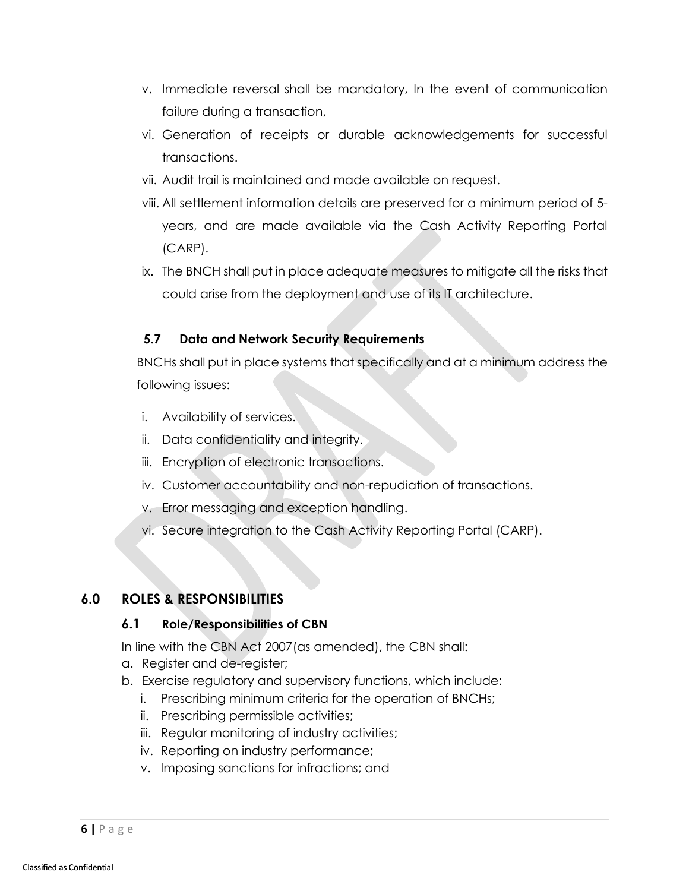- v. Immediate reversal shall be mandatory, In the event of communication failure during a transaction,
- vi. Generation of receipts or durable acknowledgements for successful transactions.
- vii. Audit trail is maintained and made available on request.
- viii. All settlement information details are preserved for a minimum period of 5 years, and are made available via the Cash Activity Reporting Portal (CARP).
- ix. The BNCH shall put in place adequate measures to mitigate all the risks that could arise from the deployment and use of its IT architecture.

## <span id="page-7-0"></span>**5.7 Data and Network Security Requirements**

BNCHs shall put in place systems that specifically and at a minimum address the following issues:

- i. Availability of services.
- ii. Data confidentiality and integrity.
- iii. Encryption of electronic transactions.
- iv. Customer accountability and non-repudiation of transactions.
- v. Error messaging and exception handling.
- vi. Secure integration to the Cash Activity Reporting Portal (CARP).

## <span id="page-7-2"></span><span id="page-7-1"></span>**6.0 ROLES & RESPONSIBILITIES**

#### **6.1 Role/Responsibilities of CBN**

In line with the CBN Act 2007(as amended), the CBN shall:

- a. Register and de-register;
- b. Exercise regulatory and supervisory functions, which include:
	- i. Prescribing minimum criteria for the operation of BNCHs;
	- ii. Prescribing permissible activities;
	- iii. Regular monitoring of industry activities;
	- iv. Reporting on industry performance;
	- v. Imposing sanctions for infractions; and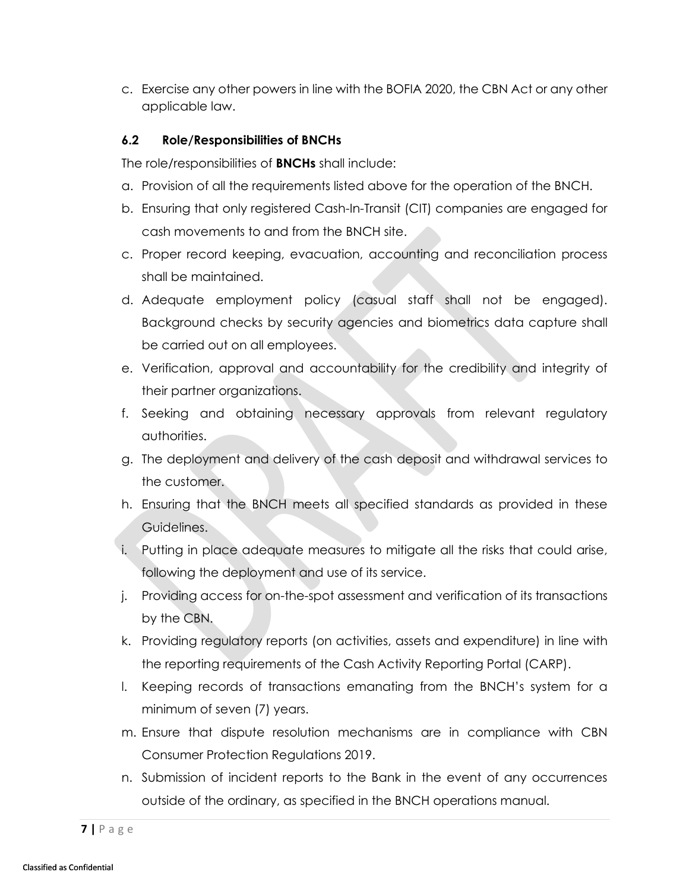c. Exercise any other powers in line with the BOFIA 2020, the CBN Act or any other applicable law.

## <span id="page-8-0"></span>**6.2 Role/Responsibilities of BNCHs**

The role/responsibilities of **BNCHs** shall include:

- a. Provision of all the requirements listed above for the operation of the BNCH.
- b. Ensuring that only registered Cash-In-Transit (CIT) companies are engaged for cash movements to and from the BNCH site.
- c. Proper record keeping, evacuation, accounting and reconciliation process shall be maintained.
- d. Adequate employment policy (casual staff shall not be engaged). Background checks by security agencies and biometrics data capture shall be carried out on all employees.
- e. Verification, approval and accountability for the credibility and integrity of their partner organizations.
- f. Seeking and obtaining necessary approvals from relevant regulatory authorities.
- g. The deployment and delivery of the cash deposit and withdrawal services to the customer.
- h. Ensuring that the BNCH meets all specified standards as provided in these Guidelines.
- i. Putting in place adequate measures to mitigate all the risks that could arise, following the deployment and use of its service.
- j. Providing access for on-the-spot assessment and verification of its transactions by the CBN.
- k. Providing regulatory reports (on activities, assets and expenditure) in line with the reporting requirements of the Cash Activity Reporting Portal (CARP).
- l. Keeping records of transactions emanating from the BNCH's system for a minimum of seven (7) years.
- m. Ensure that dispute resolution mechanisms are in compliance with CBN Consumer Protection Regulations 2019.
- n. Submission of incident reports to the Bank in the event of any occurrences outside of the ordinary, as specified in the BNCH operations manual.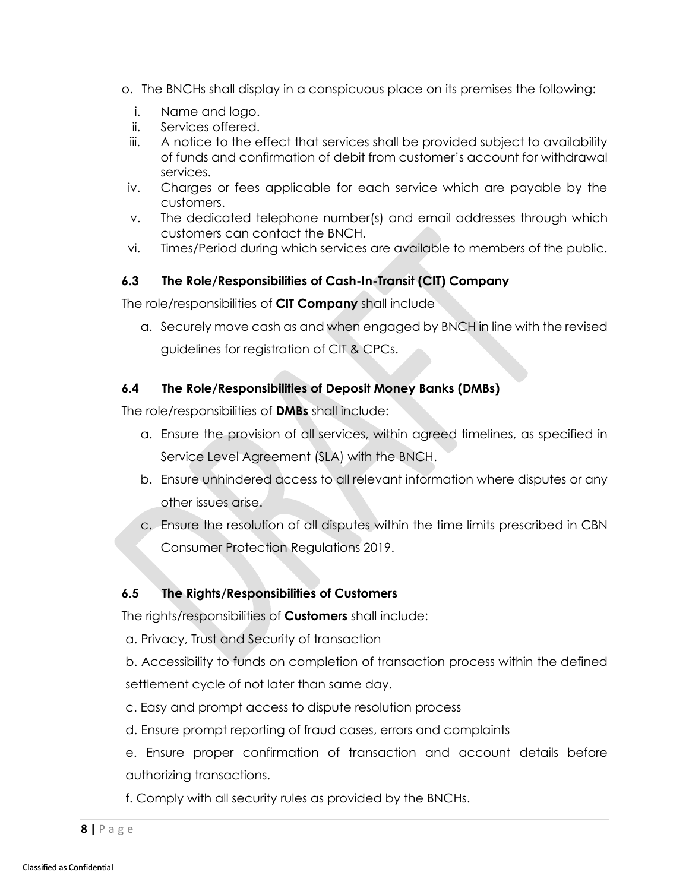- o. The BNCHs shall display in a conspicuous place on its premises the following:
	- i. Name and logo.
	- ii. Services offered.
	- iii. A notice to the effect that services shall be provided subject to availability of funds and confirmation of debit from customer's account for withdrawal services.
- iv. Charges or fees applicable for each service which are payable by the customers.
- v. The dedicated telephone number(s) and email addresses through which customers can contact the BNCH.
- vi. Times/Period during which services are available to members of the public.

# <span id="page-9-0"></span>**6.3 The Role/Responsibilities of Cash-In-Transit (CIT) Company**

The role/responsibilities of **CIT Company** shall include

a. Securely move cash as and when engaged by BNCH in line with the revised guidelines for registration of CIT & CPCs.

# <span id="page-9-1"></span>**6.4 The Role/Responsibilities of Deposit Money Banks (DMBs)**

The role/responsibilities of **DMBs** shall include:

- a. Ensure the provision of all services, within agreed timelines, as specified in Service Level Agreement (SLA) with the BNCH.
- b. Ensure unhindered access to all relevant information where disputes or any other issues arise.
- c. Ensure the resolution of all disputes within the time limits prescribed in CBN Consumer Protection Regulations 2019.

# <span id="page-9-2"></span>**6.5 The Rights/Responsibilities of Customers**

The rights/responsibilities of **Customers** shall include:

a. Privacy, Trust and Security of transaction

b. Accessibility to funds on completion of transaction process within the defined settlement cycle of not later than same day.

c. Easy and prompt access to dispute resolution process

d. Ensure prompt reporting of fraud cases, errors and complaints

e. Ensure proper confirmation of transaction and account details before authorizing transactions.

f. Comply with all security rules as provided by the BNCHs.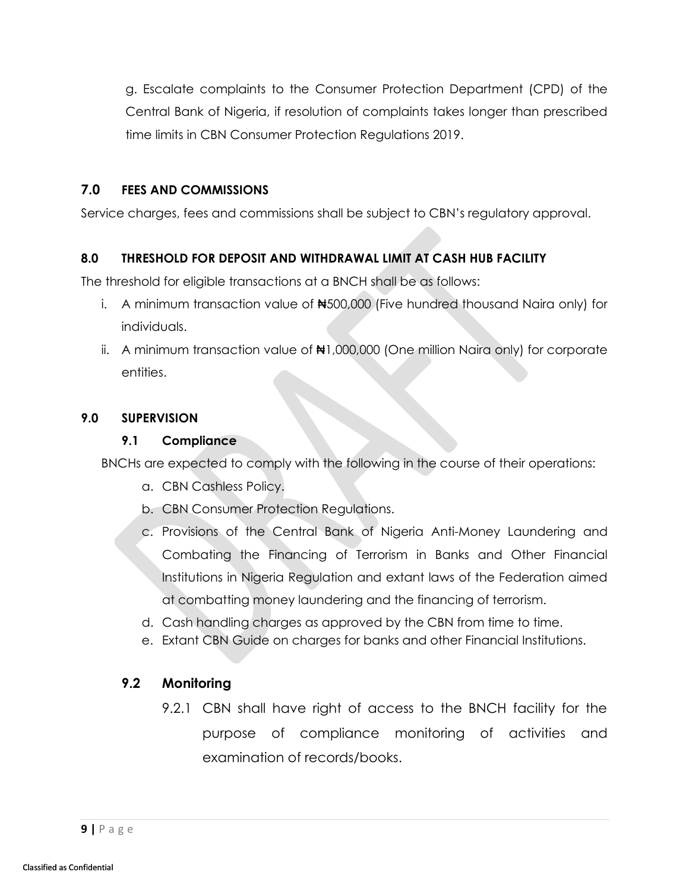g. Escalate complaints to the Consumer Protection Department (CPD) of the Central Bank of Nigeria, if resolution of complaints takes longer than prescribed time limits in CBN Consumer Protection Regulations 2019.

### <span id="page-10-0"></span>**7.0 FEES AND COMMISSIONS**

Service charges, fees and commissions shall be subject to CBN's regulatory approval.

## <span id="page-10-1"></span>**8.0 THRESHOLD FOR DEPOSIT AND WITHDRAWAL LIMIT AT CASH HUB FACILITY**

The threshold for eligible transactions at a BNCH shall be as follows:

- i. A minimum transaction value of  $\blacklozenge$  500,000 (Five hundred thousand Naira only) for individuals.
- ii. A minimum transaction value of ₦1,000,000 (One million Naira only) for corporate entities.

#### <span id="page-10-3"></span><span id="page-10-2"></span>**9.0 SUPERVISION**

#### **9.1 Compliance**

BNCHs are expected to comply with the following in the course of their operations:

- a. CBN Cashless Policy.
- b. CBN Consumer Protection Regulations.
- c. Provisions of the Central Bank of Nigeria Anti-Money Laundering and Combating the Financing of Terrorism in Banks and Other Financial Institutions in Nigeria Regulation and extant laws of the Federation aimed at combatting money laundering and the financing of terrorism.
- d. Cash handling charges as approved by the CBN from time to time.
- e. Extant CBN Guide on charges for banks and other Financial Institutions.

## <span id="page-10-4"></span>**9.2 Monitoring**

9.2.1 CBN shall have right of access to the BNCH facility for the purpose of compliance monitoring of activities and examination of records/books.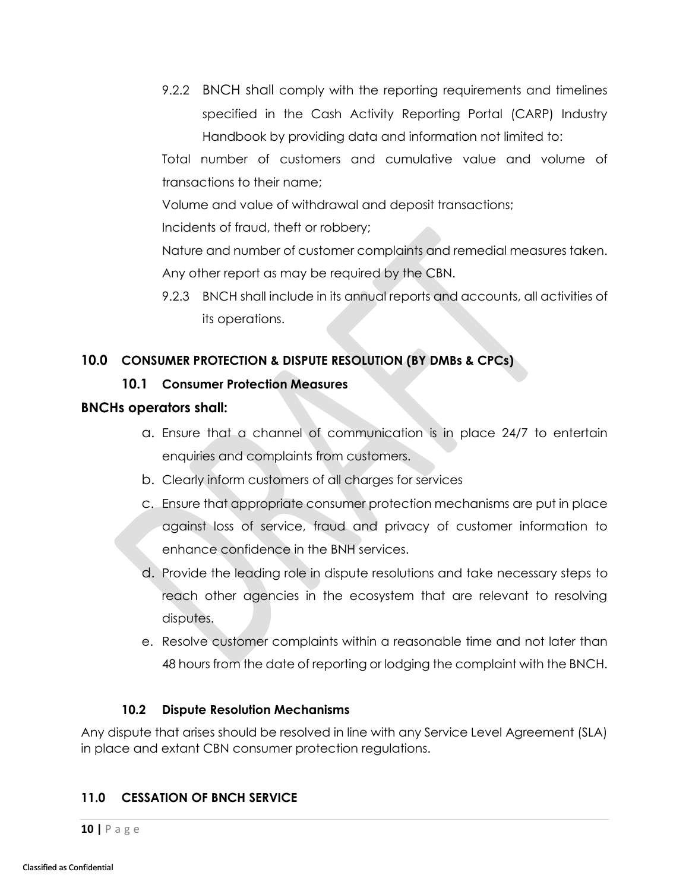9.2.2 BNCH shall comply with the reporting requirements and timelines specified in the Cash Activity Reporting Portal (CARP) Industry Handbook by providing data and information not limited to:

Total number of customers and cumulative value and volume of transactions to their name;

Volume and value of withdrawal and deposit transactions;

Incidents of fraud, theft or robbery;

Nature and number of customer complaints and remedial measures taken. Any other report as may be required by the CBN.

9.2.3 BNCH shall include in its annual reports and accounts, all activities of its operations.

# <span id="page-11-1"></span><span id="page-11-0"></span>**10.0 CONSUMER PROTECTION & DISPUTE RESOLUTION (BY DMBs & CPCs)**

## **10.1 Consumer Protection Measures**

#### **BNCHs operators shall:**

- a. Ensure that a channel of communication is in place 24/7 to entertain enquiries and complaints from customers.
- b. Clearly inform customers of all charges for services
- c. Ensure that appropriate consumer protection mechanisms are put in place against loss of service, fraud and privacy of customer information to enhance confidence in the BNH services.
- d. Provide the leading role in dispute resolutions and take necessary steps to reach other agencies in the ecosystem that are relevant to resolving disputes.
- e. Resolve customer complaints within a reasonable time and not later than 48 hours from the date of reporting or lodging the complaint with the BNCH.

#### **10.2 Dispute Resolution Mechanisms**

<span id="page-11-2"></span>Any dispute that arises should be resolved in line with any Service Level Agreement (SLA) in place and extant CBN consumer protection regulations.

## <span id="page-11-3"></span>**11.0 CESSATION OF BNCH SERVICE**

**10 |** P a g e